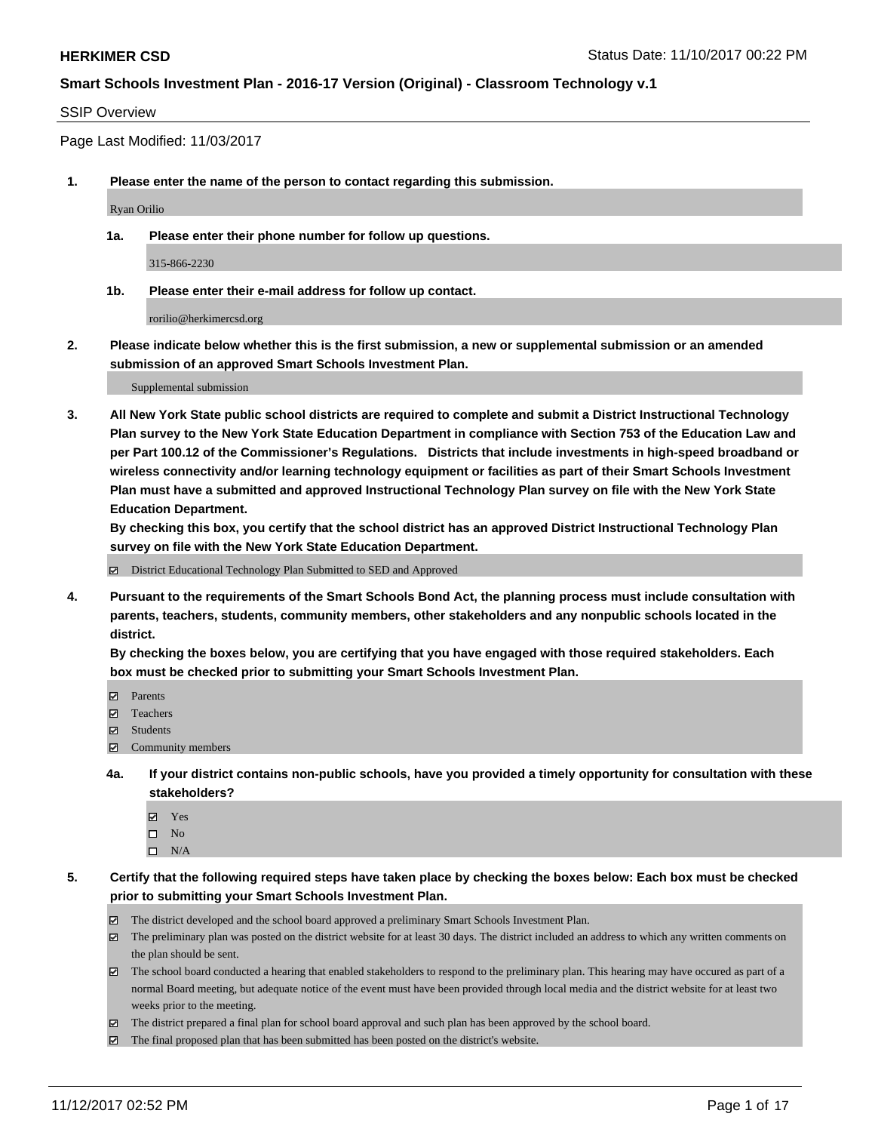### SSIP Overview

Page Last Modified: 11/03/2017

**1. Please enter the name of the person to contact regarding this submission.**

Ryan Orilio

**1a. Please enter their phone number for follow up questions.**

315-866-2230

**1b. Please enter their e-mail address for follow up contact.**

rorilio@herkimercsd.org

**2. Please indicate below whether this is the first submission, a new or supplemental submission or an amended submission of an approved Smart Schools Investment Plan.**

Supplemental submission

**3. All New York State public school districts are required to complete and submit a District Instructional Technology Plan survey to the New York State Education Department in compliance with Section 753 of the Education Law and per Part 100.12 of the Commissioner's Regulations. Districts that include investments in high-speed broadband or wireless connectivity and/or learning technology equipment or facilities as part of their Smart Schools Investment Plan must have a submitted and approved Instructional Technology Plan survey on file with the New York State Education Department.** 

**By checking this box, you certify that the school district has an approved District Instructional Technology Plan survey on file with the New York State Education Department.**

District Educational Technology Plan Submitted to SED and Approved

**4. Pursuant to the requirements of the Smart Schools Bond Act, the planning process must include consultation with parents, teachers, students, community members, other stakeholders and any nonpublic schools located in the district.** 

**By checking the boxes below, you are certifying that you have engaged with those required stakeholders. Each box must be checked prior to submitting your Smart Schools Investment Plan.**

- **マ** Parents
- Teachers
- **☑** Students
- $\Xi$  Community members
- **4a. If your district contains non-public schools, have you provided a timely opportunity for consultation with these stakeholders?**
	- **Ø** Yes
	- $\square$  No
	- $\square$  N/A

**5. Certify that the following required steps have taken place by checking the boxes below: Each box must be checked prior to submitting your Smart Schools Investment Plan.**

- The district developed and the school board approved a preliminary Smart Schools Investment Plan.
- The preliminary plan was posted on the district website for at least 30 days. The district included an address to which any written comments on the plan should be sent.
- The school board conducted a hearing that enabled stakeholders to respond to the preliminary plan. This hearing may have occured as part of a normal Board meeting, but adequate notice of the event must have been provided through local media and the district website for at least two weeks prior to the meeting.
- The district prepared a final plan for school board approval and such plan has been approved by the school board.
- $\boxtimes$  The final proposed plan that has been submitted has been posted on the district's website.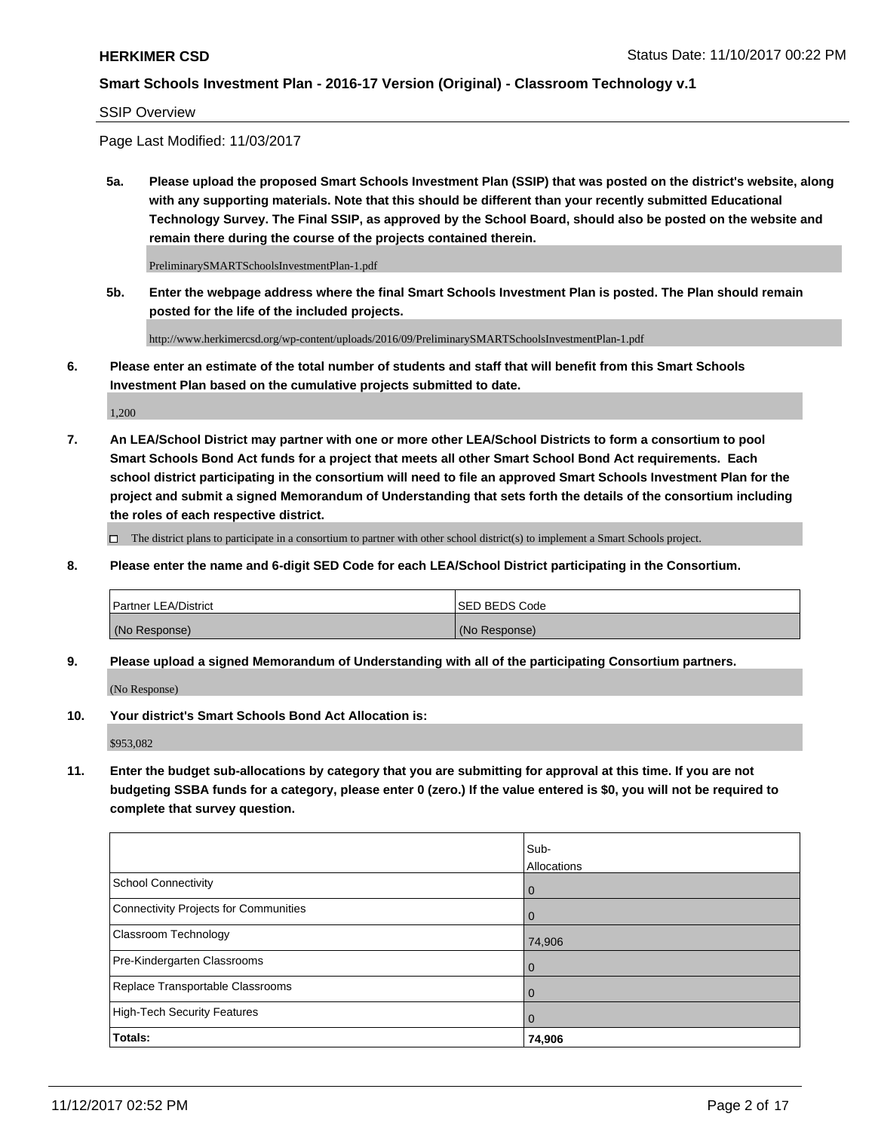### SSIP Overview

Page Last Modified: 11/03/2017

**5a. Please upload the proposed Smart Schools Investment Plan (SSIP) that was posted on the district's website, along with any supporting materials. Note that this should be different than your recently submitted Educational Technology Survey. The Final SSIP, as approved by the School Board, should also be posted on the website and remain there during the course of the projects contained therein.**

PreliminarySMARTSchoolsInvestmentPlan-1.pdf

**5b. Enter the webpage address where the final Smart Schools Investment Plan is posted. The Plan should remain posted for the life of the included projects.**

http://www.herkimercsd.org/wp-content/uploads/2016/09/PreliminarySMARTSchoolsInvestmentPlan-1.pdf

**6. Please enter an estimate of the total number of students and staff that will benefit from this Smart Schools Investment Plan based on the cumulative projects submitted to date.**

1,200

**7. An LEA/School District may partner with one or more other LEA/School Districts to form a consortium to pool Smart Schools Bond Act funds for a project that meets all other Smart School Bond Act requirements. Each school district participating in the consortium will need to file an approved Smart Schools Investment Plan for the project and submit a signed Memorandum of Understanding that sets forth the details of the consortium including the roles of each respective district.**

 $\Box$  The district plans to participate in a consortium to partner with other school district(s) to implement a Smart Schools project.

**8. Please enter the name and 6-digit SED Code for each LEA/School District participating in the Consortium.**

| <b>Partner LEA/District</b> | <b>ISED BEDS Code</b> |
|-----------------------------|-----------------------|
| (No Response)               | (No Response)         |

**9. Please upload a signed Memorandum of Understanding with all of the participating Consortium partners.**

(No Response)

**10. Your district's Smart Schools Bond Act Allocation is:**

\$953,082

**11. Enter the budget sub-allocations by category that you are submitting for approval at this time. If you are not budgeting SSBA funds for a category, please enter 0 (zero.) If the value entered is \$0, you will not be required to complete that survey question.**

|                                              | Sub-<br>Allocations |
|----------------------------------------------|---------------------|
| <b>School Connectivity</b>                   | $\mathbf 0$         |
| <b>Connectivity Projects for Communities</b> | $\Omega$            |
| Classroom Technology                         | 74,906              |
| Pre-Kindergarten Classrooms                  | 0                   |
| Replace Transportable Classrooms             | 0                   |
| <b>High-Tech Security Features</b>           | $\overline{0}$      |
| Totals:                                      | 74,906              |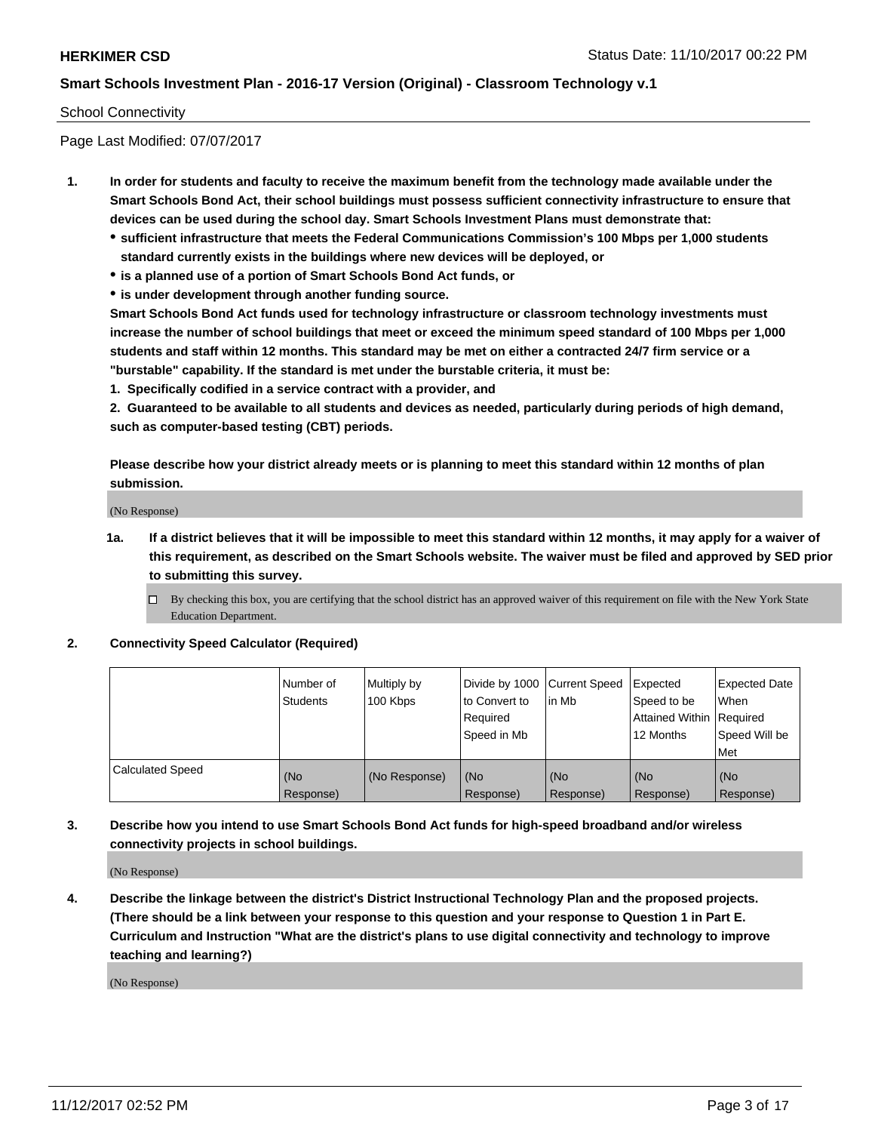### School Connectivity

Page Last Modified: 07/07/2017

- **1. In order for students and faculty to receive the maximum benefit from the technology made available under the Smart Schools Bond Act, their school buildings must possess sufficient connectivity infrastructure to ensure that devices can be used during the school day. Smart Schools Investment Plans must demonstrate that:**
	- **sufficient infrastructure that meets the Federal Communications Commission's 100 Mbps per 1,000 students standard currently exists in the buildings where new devices will be deployed, or**
	- **is a planned use of a portion of Smart Schools Bond Act funds, or**
	- **is under development through another funding source.**

**Smart Schools Bond Act funds used for technology infrastructure or classroom technology investments must increase the number of school buildings that meet or exceed the minimum speed standard of 100 Mbps per 1,000 students and staff within 12 months. This standard may be met on either a contracted 24/7 firm service or a "burstable" capability. If the standard is met under the burstable criteria, it must be:**

**1. Specifically codified in a service contract with a provider, and**

**2. Guaranteed to be available to all students and devices as needed, particularly during periods of high demand, such as computer-based testing (CBT) periods.**

**Please describe how your district already meets or is planning to meet this standard within 12 months of plan submission.**

(No Response)

**1a. If a district believes that it will be impossible to meet this standard within 12 months, it may apply for a waiver of this requirement, as described on the Smart Schools website. The waiver must be filed and approved by SED prior to submitting this survey.**

**2. Connectivity Speed Calculator (Required)**

|                         | Number of<br><b>Students</b> | Multiply by<br>100 Kbps | Divide by 1000   Current Speed<br>to Convert to<br>Required<br>Speed in Mb | lin Mb           | Expected<br>Speed to be<br>Attained Within   Required<br>12 Months | <b>Expected Date</b><br>When<br>Speed Will be<br>Met |
|-------------------------|------------------------------|-------------------------|----------------------------------------------------------------------------|------------------|--------------------------------------------------------------------|------------------------------------------------------|
| <b>Calculated Speed</b> | (No<br>Response)             | (No Response)           | (No<br>Response)                                                           | (No<br>Response) | (No<br>Response)                                                   | (No<br>Response)                                     |

**3. Describe how you intend to use Smart Schools Bond Act funds for high-speed broadband and/or wireless connectivity projects in school buildings.**

(No Response)

**4. Describe the linkage between the district's District Instructional Technology Plan and the proposed projects. (There should be a link between your response to this question and your response to Question 1 in Part E. Curriculum and Instruction "What are the district's plans to use digital connectivity and technology to improve teaching and learning?)**

(No Response)

 $\Box$  By checking this box, you are certifying that the school district has an approved waiver of this requirement on file with the New York State Education Department.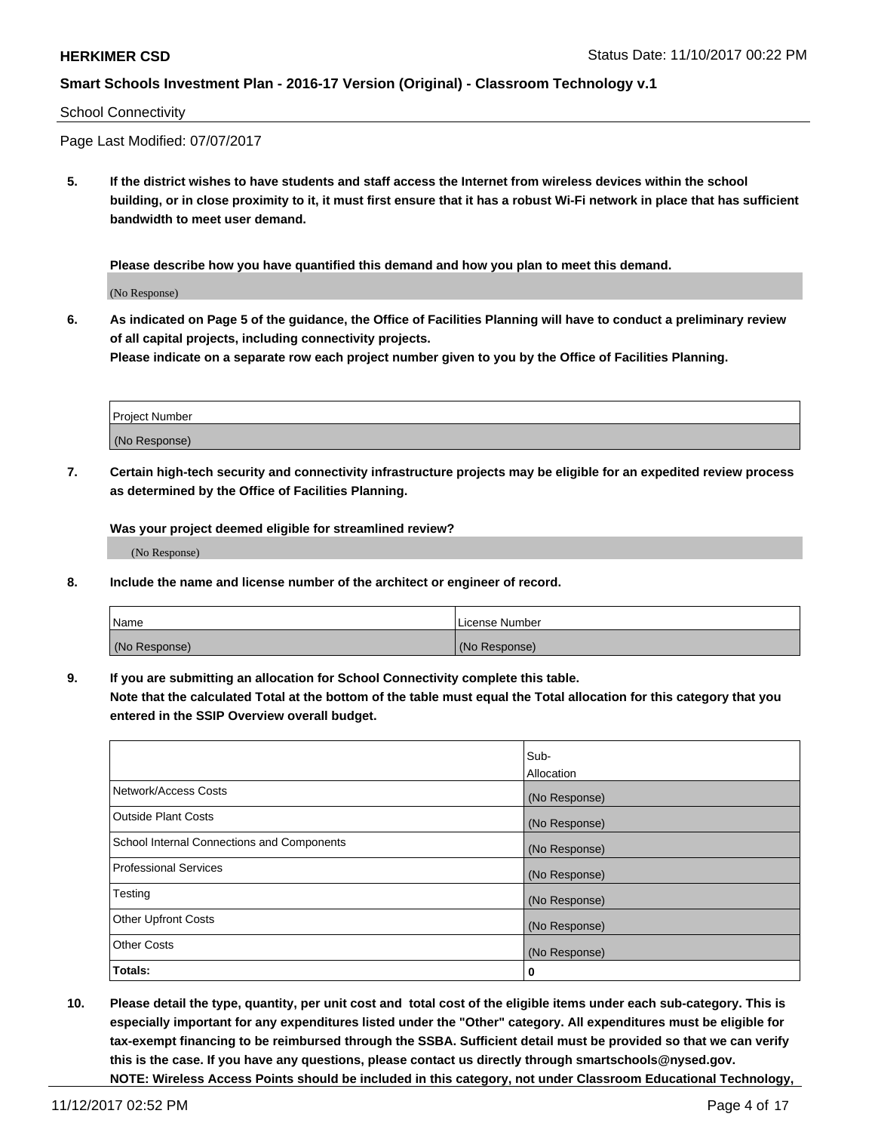### School Connectivity

Page Last Modified: 07/07/2017

**5. If the district wishes to have students and staff access the Internet from wireless devices within the school building, or in close proximity to it, it must first ensure that it has a robust Wi-Fi network in place that has sufficient bandwidth to meet user demand.**

**Please describe how you have quantified this demand and how you plan to meet this demand.**

(No Response)

**6. As indicated on Page 5 of the guidance, the Office of Facilities Planning will have to conduct a preliminary review of all capital projects, including connectivity projects.**

**Please indicate on a separate row each project number given to you by the Office of Facilities Planning.**

| Project Number |  |
|----------------|--|
|                |  |
| (No Response)  |  |

**7. Certain high-tech security and connectivity infrastructure projects may be eligible for an expedited review process as determined by the Office of Facilities Planning.**

**Was your project deemed eligible for streamlined review?**

(No Response)

**8. Include the name and license number of the architect or engineer of record.**

| Name          | License Number |
|---------------|----------------|
| (No Response) | (No Response)  |

**9. If you are submitting an allocation for School Connectivity complete this table.**

**Note that the calculated Total at the bottom of the table must equal the Total allocation for this category that you entered in the SSIP Overview overall budget.** 

|                                            | Sub-          |
|--------------------------------------------|---------------|
|                                            | Allocation    |
| Network/Access Costs                       | (No Response) |
| <b>Outside Plant Costs</b>                 | (No Response) |
| School Internal Connections and Components | (No Response) |
| <b>Professional Services</b>               | (No Response) |
| Testing                                    | (No Response) |
| <b>Other Upfront Costs</b>                 | (No Response) |
| <b>Other Costs</b>                         | (No Response) |
| Totals:                                    | 0             |

**10. Please detail the type, quantity, per unit cost and total cost of the eligible items under each sub-category. This is especially important for any expenditures listed under the "Other" category. All expenditures must be eligible for tax-exempt financing to be reimbursed through the SSBA. Sufficient detail must be provided so that we can verify this is the case. If you have any questions, please contact us directly through smartschools@nysed.gov. NOTE: Wireless Access Points should be included in this category, not under Classroom Educational Technology,**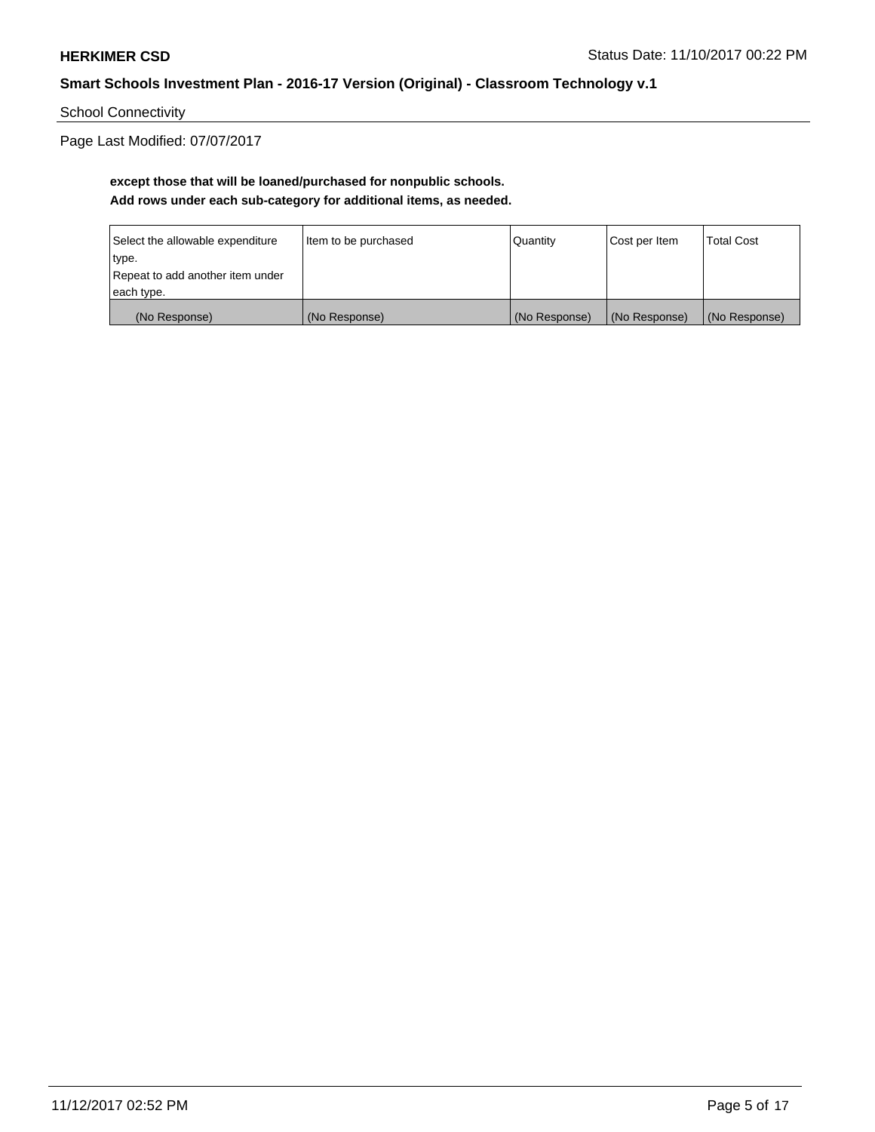School Connectivity

Page Last Modified: 07/07/2017

# **except those that will be loaned/purchased for nonpublic schools. Add rows under each sub-category for additional items, as needed.**

| Select the allowable expenditure | Item to be purchased | Quantity      | Cost per Item | <b>Total Cost</b> |
|----------------------------------|----------------------|---------------|---------------|-------------------|
| type.                            |                      |               |               |                   |
| Repeat to add another item under |                      |               |               |                   |
| each type.                       |                      |               |               |                   |
| (No Response)                    | (No Response)        | (No Response) | (No Response) | (No Response)     |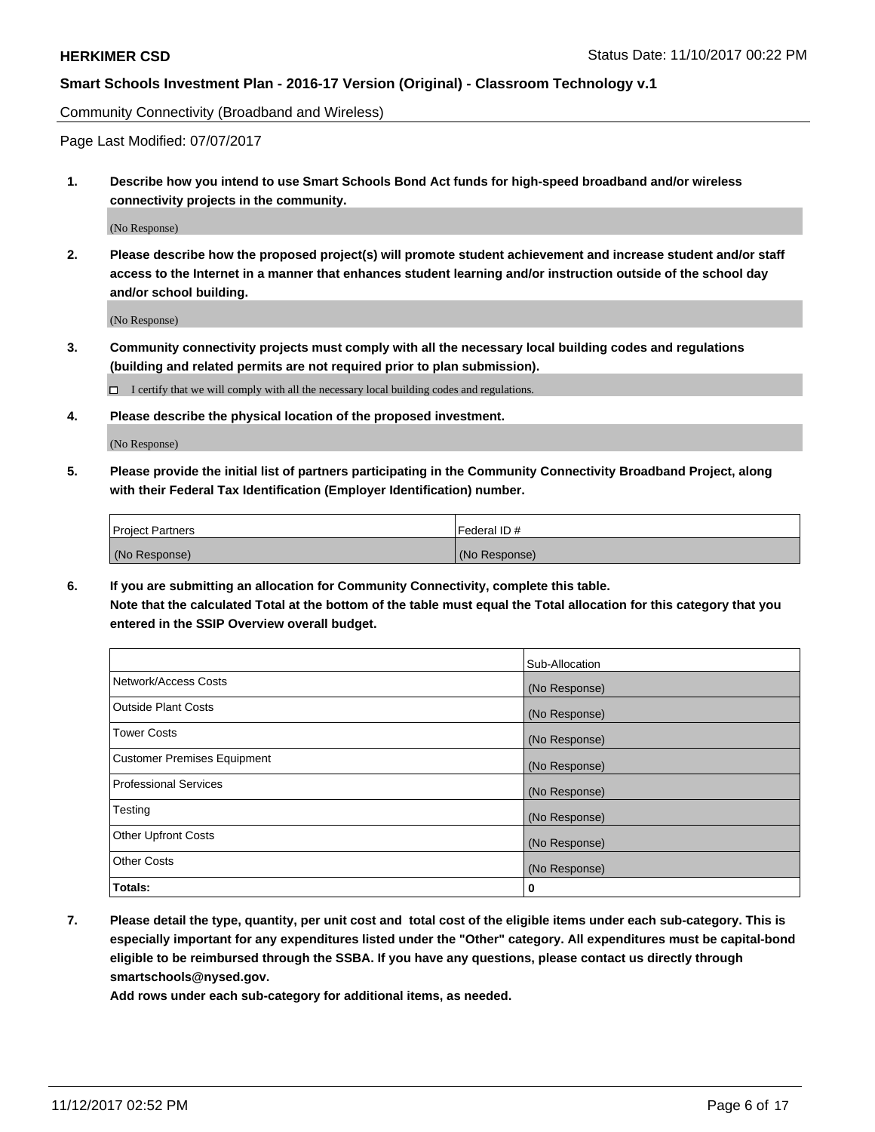Community Connectivity (Broadband and Wireless)

Page Last Modified: 07/07/2017

**1. Describe how you intend to use Smart Schools Bond Act funds for high-speed broadband and/or wireless connectivity projects in the community.**

(No Response)

**2. Please describe how the proposed project(s) will promote student achievement and increase student and/or staff access to the Internet in a manner that enhances student learning and/or instruction outside of the school day and/or school building.**

(No Response)

- **3. Community connectivity projects must comply with all the necessary local building codes and regulations (building and related permits are not required prior to plan submission).**
	- $\Box$  I certify that we will comply with all the necessary local building codes and regulations.
- **4. Please describe the physical location of the proposed investment.**

(No Response)

**5. Please provide the initial list of partners participating in the Community Connectivity Broadband Project, along with their Federal Tax Identification (Employer Identification) number.**

| <b>Project Partners</b> | l Federal ID # |
|-------------------------|----------------|
| (No Response)           | (No Response)  |

**6. If you are submitting an allocation for Community Connectivity, complete this table. Note that the calculated Total at the bottom of the table must equal the Total allocation for this category that you entered in the SSIP Overview overall budget.**

|                                    | Sub-Allocation |
|------------------------------------|----------------|
| Network/Access Costs               | (No Response)  |
| <b>Outside Plant Costs</b>         | (No Response)  |
| <b>Tower Costs</b>                 | (No Response)  |
| <b>Customer Premises Equipment</b> | (No Response)  |
| <b>Professional Services</b>       | (No Response)  |
| Testing                            | (No Response)  |
| <b>Other Upfront Costs</b>         | (No Response)  |
| <b>Other Costs</b>                 | (No Response)  |
| Totals:                            | 0              |

**7. Please detail the type, quantity, per unit cost and total cost of the eligible items under each sub-category. This is especially important for any expenditures listed under the "Other" category. All expenditures must be capital-bond eligible to be reimbursed through the SSBA. If you have any questions, please contact us directly through smartschools@nysed.gov.**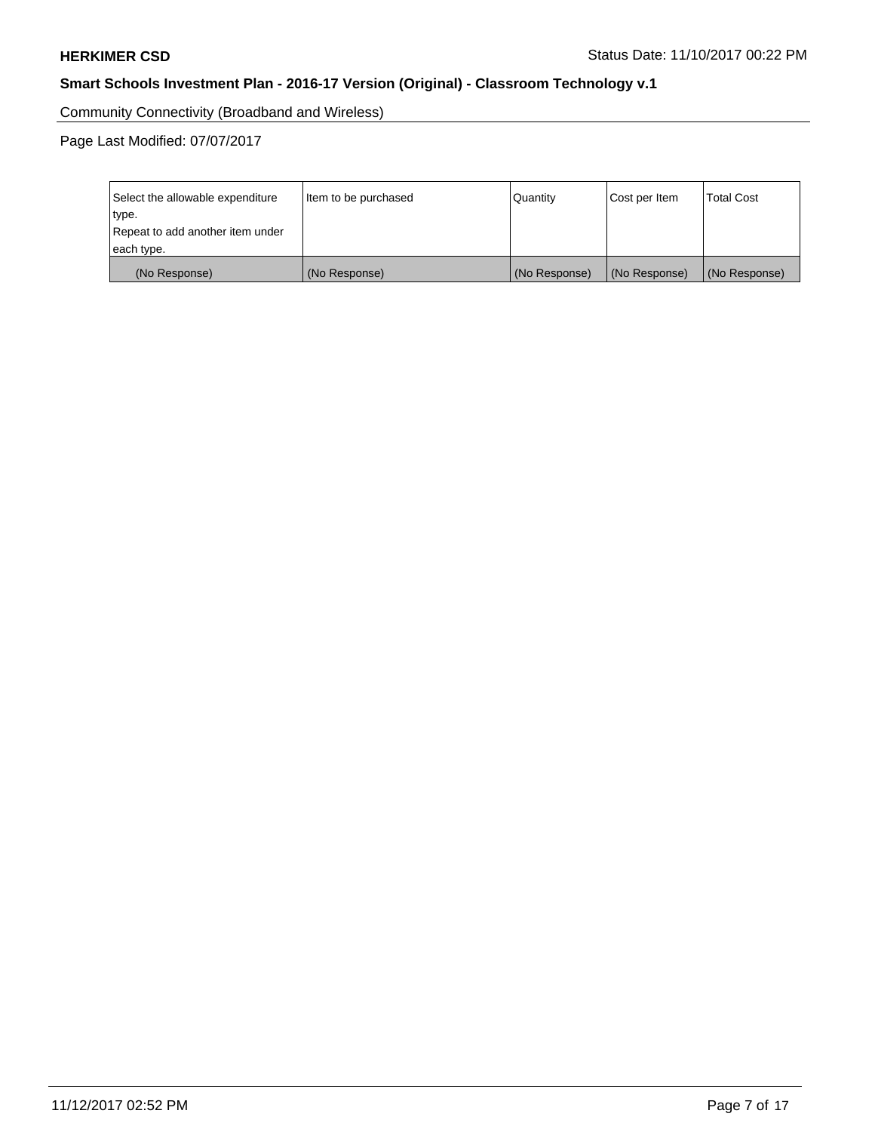Community Connectivity (Broadband and Wireless)

Page Last Modified: 07/07/2017

| Select the allowable expenditure | Item to be purchased | Quantity      | Cost per Item | <b>Total Cost</b> |
|----------------------------------|----------------------|---------------|---------------|-------------------|
| type.                            |                      |               |               |                   |
| Repeat to add another item under |                      |               |               |                   |
| each type.                       |                      |               |               |                   |
| (No Response)                    | (No Response)        | (No Response) | (No Response) | (No Response)     |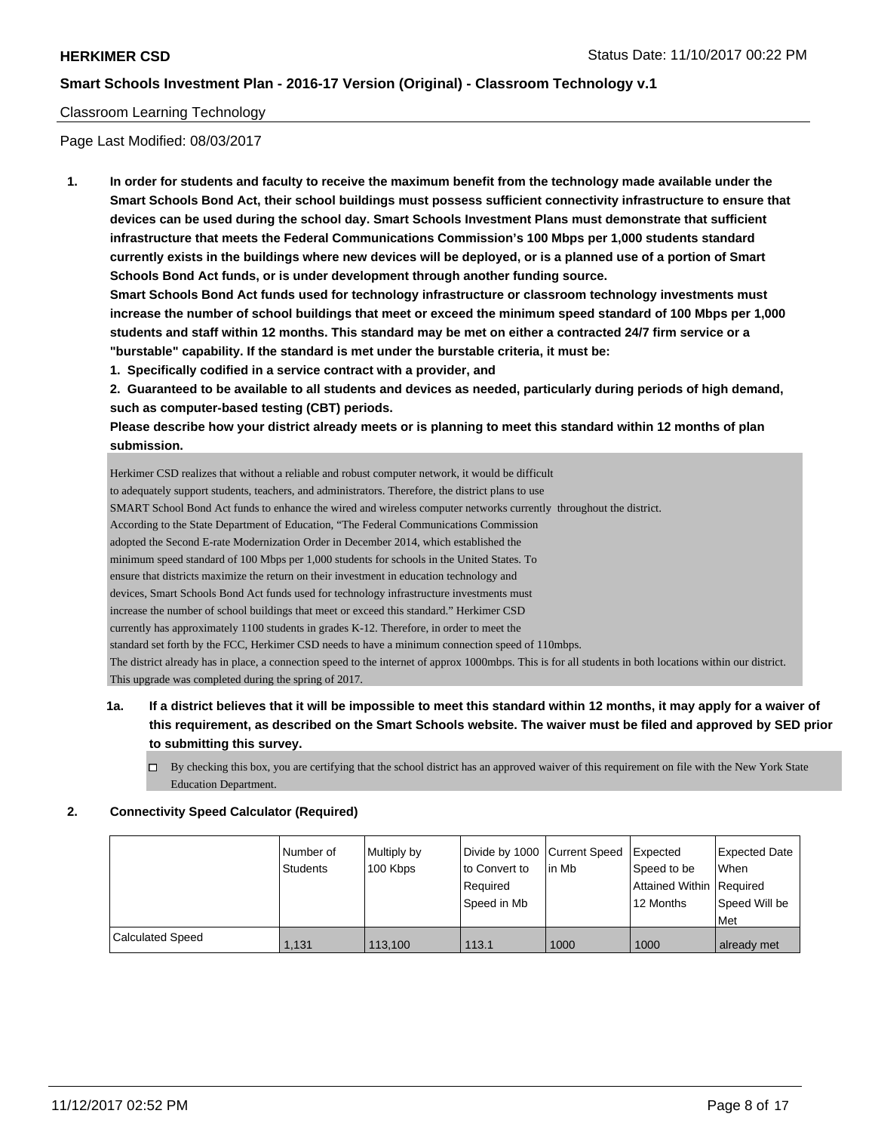### Classroom Learning Technology

Page Last Modified: 08/03/2017

**1. In order for students and faculty to receive the maximum benefit from the technology made available under the Smart Schools Bond Act, their school buildings must possess sufficient connectivity infrastructure to ensure that devices can be used during the school day. Smart Schools Investment Plans must demonstrate that sufficient infrastructure that meets the Federal Communications Commission's 100 Mbps per 1,000 students standard currently exists in the buildings where new devices will be deployed, or is a planned use of a portion of Smart Schools Bond Act funds, or is under development through another funding source.**

**Smart Schools Bond Act funds used for technology infrastructure or classroom technology investments must increase the number of school buildings that meet or exceed the minimum speed standard of 100 Mbps per 1,000 students and staff within 12 months. This standard may be met on either a contracted 24/7 firm service or a "burstable" capability. If the standard is met under the burstable criteria, it must be:**

**1. Specifically codified in a service contract with a provider, and**

**2. Guaranteed to be available to all students and devices as needed, particularly during periods of high demand, such as computer-based testing (CBT) periods.**

**Please describe how your district already meets or is planning to meet this standard within 12 months of plan submission.**

Herkimer CSD realizes that without a reliable and robust computer network, it would be difficult to adequately support students, teachers, and administrators. Therefore, the district plans to use SMART School Bond Act funds to enhance the wired and wireless computer networks currently throughout the district. According to the State Department of Education, "The Federal Communications Commission adopted the Second E-rate Modernization Order in December 2014, which established the minimum speed standard of 100 Mbps per 1,000 students for schools in the United States. To ensure that districts maximize the return on their investment in education technology and devices, Smart Schools Bond Act funds used for technology infrastructure investments must increase the number of school buildings that meet or exceed this standard." Herkimer CSD currently has approximately 1100 students in grades K-12. Therefore, in order to meet the standard set forth by the FCC, Herkimer CSD needs to have a minimum connection speed of 110mbps. The district already has in place, a connection speed to the internet of approx 1000mbps. This is for all students in both locations within our district. This upgrade was completed during the spring of 2017.

- **1a. If a district believes that it will be impossible to meet this standard within 12 months, it may apply for a waiver of this requirement, as described on the Smart Schools website. The waiver must be filed and approved by SED prior to submitting this survey.**
	- $\Box$  By checking this box, you are certifying that the school district has an approved waiver of this requirement on file with the New York State Education Department.

### **2. Connectivity Speed Calculator (Required)**

|                         | I Number of<br>Students | Multiply by<br>100 Kbps | Divide by 1000 Current Speed<br>to Convert to<br>Required<br>Speed in Mb | in Mb | Expected<br>Speed to be<br>Attained Within   Required<br>12 Months | Expected Date<br>When<br>Speed Will be<br>Met |
|-------------------------|-------------------------|-------------------------|--------------------------------------------------------------------------|-------|--------------------------------------------------------------------|-----------------------------------------------|
| <b>Calculated Speed</b> | 1.131                   | 113,100                 | 113.1                                                                    | 1000  | 1000                                                               | already met                                   |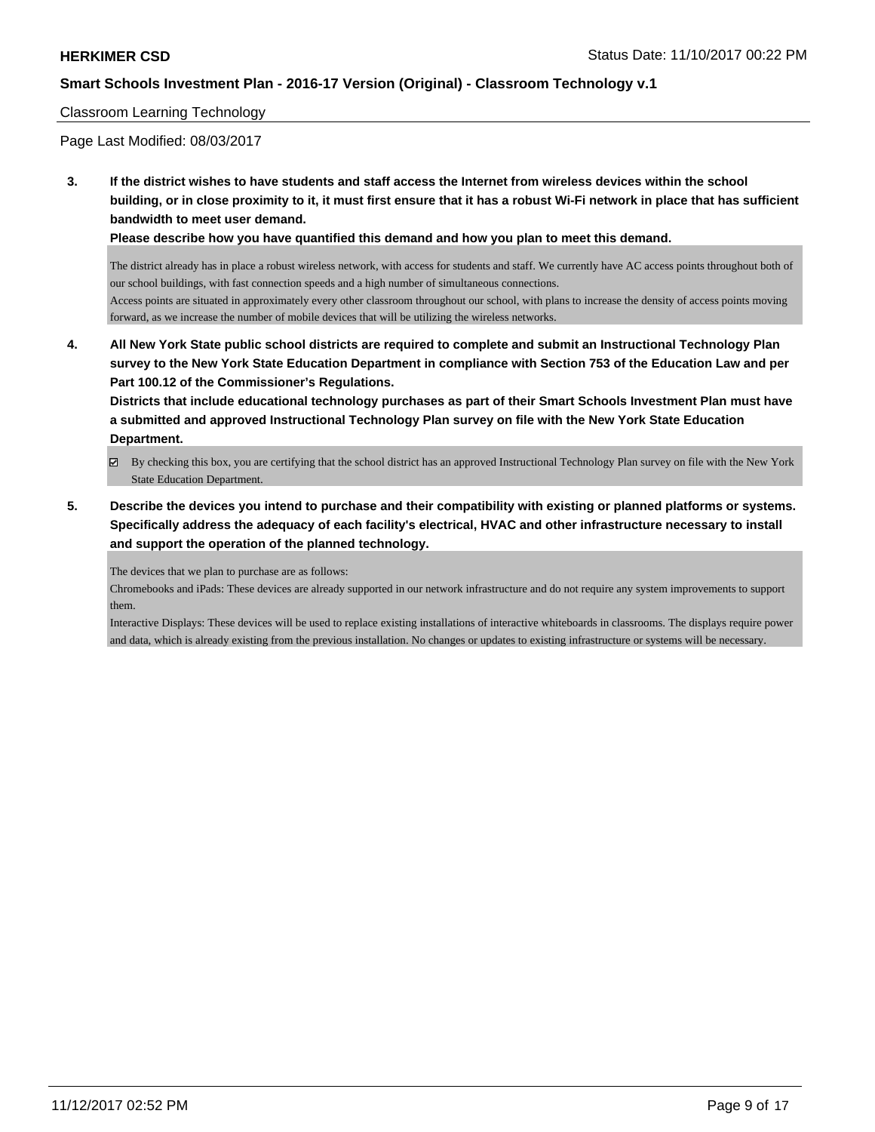### Classroom Learning Technology

Page Last Modified: 08/03/2017

**3. If the district wishes to have students and staff access the Internet from wireless devices within the school building, or in close proximity to it, it must first ensure that it has a robust Wi-Fi network in place that has sufficient bandwidth to meet user demand.**

**Please describe how you have quantified this demand and how you plan to meet this demand.**

The district already has in place a robust wireless network, with access for students and staff. We currently have AC access points throughout both of our school buildings, with fast connection speeds and a high number of simultaneous connections.

Access points are situated in approximately every other classroom throughout our school, with plans to increase the density of access points moving forward, as we increase the number of mobile devices that will be utilizing the wireless networks.

**4. All New York State public school districts are required to complete and submit an Instructional Technology Plan survey to the New York State Education Department in compliance with Section 753 of the Education Law and per Part 100.12 of the Commissioner's Regulations.**

**Districts that include educational technology purchases as part of their Smart Schools Investment Plan must have a submitted and approved Instructional Technology Plan survey on file with the New York State Education Department.**

- By checking this box, you are certifying that the school district has an approved Instructional Technology Plan survey on file with the New York State Education Department.
- **5. Describe the devices you intend to purchase and their compatibility with existing or planned platforms or systems. Specifically address the adequacy of each facility's electrical, HVAC and other infrastructure necessary to install and support the operation of the planned technology.**

The devices that we plan to purchase are as follows:

Chromebooks and iPads: These devices are already supported in our network infrastructure and do not require any system improvements to support them.

Interactive Displays: These devices will be used to replace existing installations of interactive whiteboards in classrooms. The displays require power and data, which is already existing from the previous installation. No changes or updates to existing infrastructure or systems will be necessary.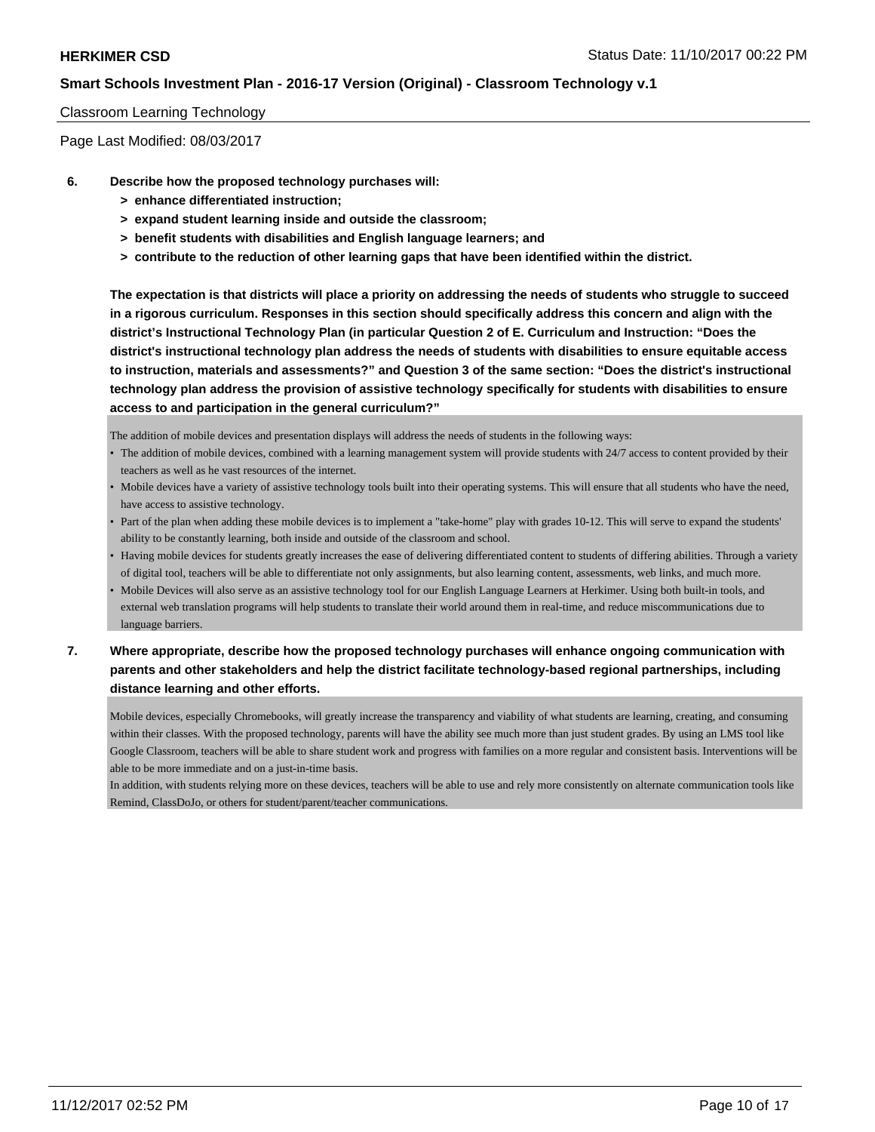### Classroom Learning Technology

Page Last Modified: 08/03/2017

- **6. Describe how the proposed technology purchases will:**
	- **> enhance differentiated instruction;**
	- **> expand student learning inside and outside the classroom;**
	- **> benefit students with disabilities and English language learners; and**
	- **> contribute to the reduction of other learning gaps that have been identified within the district.**

**The expectation is that districts will place a priority on addressing the needs of students who struggle to succeed in a rigorous curriculum. Responses in this section should specifically address this concern and align with the district's Instructional Technology Plan (in particular Question 2 of E. Curriculum and Instruction: "Does the district's instructional technology plan address the needs of students with disabilities to ensure equitable access to instruction, materials and assessments?" and Question 3 of the same section: "Does the district's instructional technology plan address the provision of assistive technology specifically for students with disabilities to ensure access to and participation in the general curriculum?"**

The addition of mobile devices and presentation displays will address the needs of students in the following ways:

- The addition of mobile devices, combined with a learning management system will provide students with 24/7 access to content provided by their teachers as well as he vast resources of the internet.
- Mobile devices have a variety of assistive technology tools built into their operating systems. This will ensure that all students who have the need, have access to assistive technology.
- Part of the plan when adding these mobile devices is to implement a "take-home" play with grades 10-12. This will serve to expand the students' ability to be constantly learning, both inside and outside of the classroom and school.
- Having mobile devices for students greatly increases the ease of delivering differentiated content to students of differing abilities. Through a variety of digital tool, teachers will be able to differentiate not only assignments, but also learning content, assessments, web links, and much more.
- Mobile Devices will also serve as an assistive technology tool for our English Language Learners at Herkimer. Using both built-in tools, and external web translation programs will help students to translate their world around them in real-time, and reduce miscommunications due to language barriers.

# **7. Where appropriate, describe how the proposed technology purchases will enhance ongoing communication with parents and other stakeholders and help the district facilitate technology-based regional partnerships, including distance learning and other efforts.**

Mobile devices, especially Chromebooks, will greatly increase the transparency and viability of what students are learning, creating, and consuming within their classes. With the proposed technology, parents will have the ability see much more than just student grades. By using an LMS tool like Google Classroom, teachers will be able to share student work and progress with families on a more regular and consistent basis. Interventions will be able to be more immediate and on a just-in-time basis.

In addition, with students relying more on these devices, teachers will be able to use and rely more consistently on alternate communication tools like Remind, ClassDoJo, or others for student/parent/teacher communications.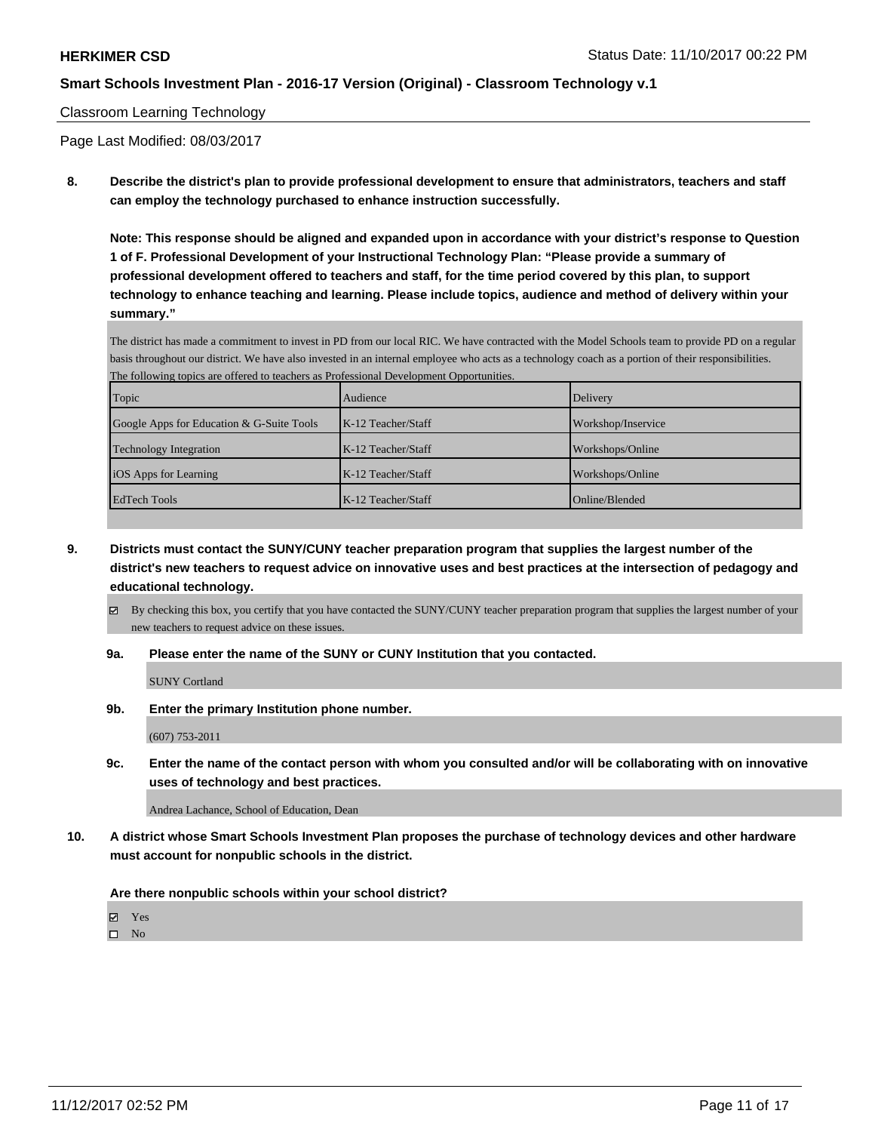### Classroom Learning Technology

Page Last Modified: 08/03/2017

**8. Describe the district's plan to provide professional development to ensure that administrators, teachers and staff can employ the technology purchased to enhance instruction successfully.**

**Note: This response should be aligned and expanded upon in accordance with your district's response to Question 1 of F. Professional Development of your Instructional Technology Plan: "Please provide a summary of professional development offered to teachers and staff, for the time period covered by this plan, to support technology to enhance teaching and learning. Please include topics, audience and method of delivery within your summary."**

The district has made a commitment to invest in PD from our local RIC. We have contracted with the Model Schools team to provide PD on a regular basis throughout our district. We have also invested in an internal employee who acts as a technology coach as a portion of their responsibilities. The following topics are offered to teachers as Professional Development Opportunities.

| Topic                                     | Audience             | Delivery           |
|-------------------------------------------|----------------------|--------------------|
| Google Apps for Education & G-Suite Tools | $K-12$ Teacher/Staff | Workshop/Inservice |
| <b>Technology Integration</b>             | $K-12$ Teacher/Staff | Workshops/Online   |
| iOS Apps for Learning                     | $K-12$ Teacher/Staff | Workshops/Online   |
| <b>EdTech Tools</b>                       | $K-12$ Teacher/Staff | Online/Blended     |

- **9. Districts must contact the SUNY/CUNY teacher preparation program that supplies the largest number of the district's new teachers to request advice on innovative uses and best practices at the intersection of pedagogy and educational technology.**
	- By checking this box, you certify that you have contacted the SUNY/CUNY teacher preparation program that supplies the largest number of your new teachers to request advice on these issues.
	- **9a. Please enter the name of the SUNY or CUNY Institution that you contacted.**

SUNY Cortland

**9b. Enter the primary Institution phone number.**

(607) 753-2011

**9c. Enter the name of the contact person with whom you consulted and/or will be collaborating with on innovative uses of technology and best practices.**

Andrea Lachance, School of Education, Dean

**10. A district whose Smart Schools Investment Plan proposes the purchase of technology devices and other hardware must account for nonpublic schools in the district.**

**Are there nonpublic schools within your school district?**

Yes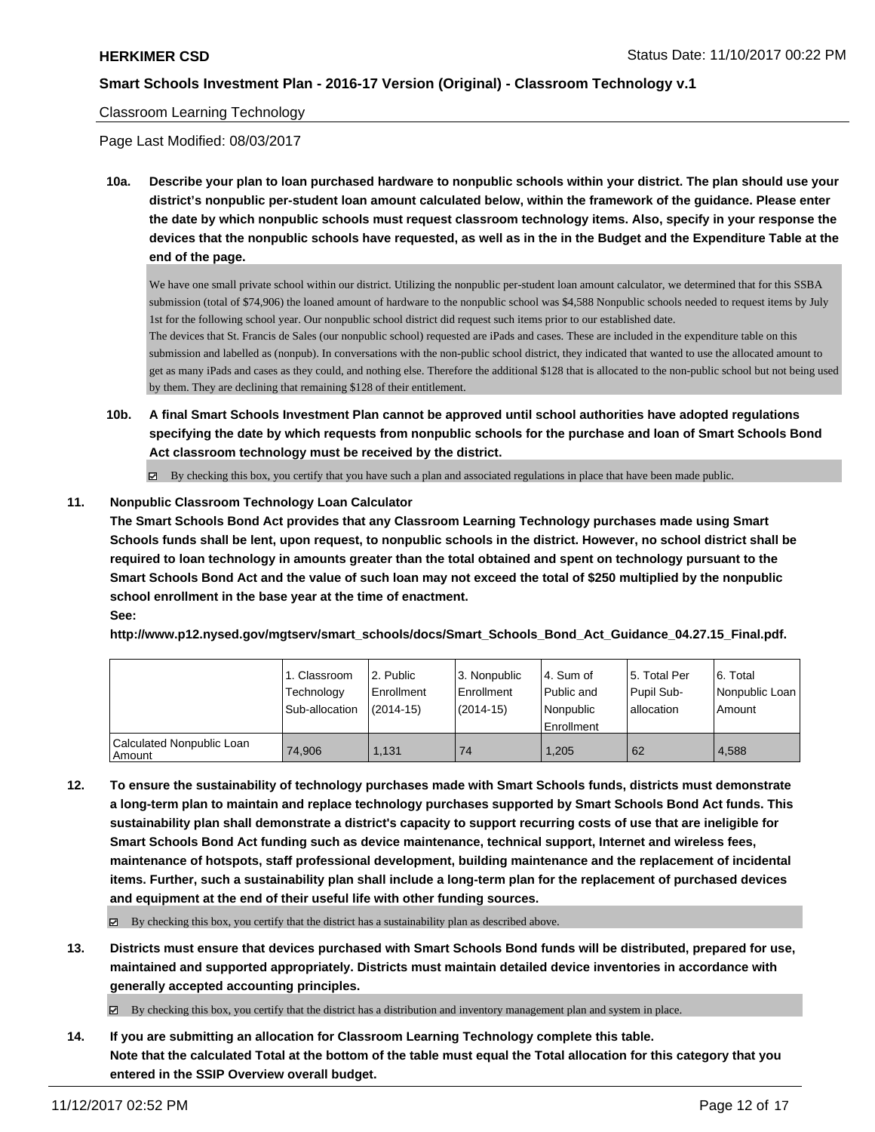### Classroom Learning Technology

Page Last Modified: 08/03/2017

**10a. Describe your plan to loan purchased hardware to nonpublic schools within your district. The plan should use your district's nonpublic per-student loan amount calculated below, within the framework of the guidance. Please enter the date by which nonpublic schools must request classroom technology items. Also, specify in your response the devices that the nonpublic schools have requested, as well as in the in the Budget and the Expenditure Table at the end of the page.**

We have one small private school within our district. Utilizing the nonpublic per-student loan amount calculator, we determined that for this SSBA submission (total of \$74,906) the loaned amount of hardware to the nonpublic school was \$4,588 Nonpublic schools needed to request items by July 1st for the following school year. Our nonpublic school district did request such items prior to our established date.

The devices that St. Francis de Sales (our nonpublic school) requested are iPads and cases. These are included in the expenditure table on this submission and labelled as (nonpub). In conversations with the non-public school district, they indicated that wanted to use the allocated amount to get as many iPads and cases as they could, and nothing else. Therefore the additional \$128 that is allocated to the non-public school but not being used by them. They are declining that remaining \$128 of their entitlement.

**10b. A final Smart Schools Investment Plan cannot be approved until school authorities have adopted regulations specifying the date by which requests from nonpublic schools for the purchase and loan of Smart Schools Bond Act classroom technology must be received by the district.**

 $\boxtimes$  By checking this box, you certify that you have such a plan and associated regulations in place that have been made public.

### **11. Nonpublic Classroom Technology Loan Calculator**

**The Smart Schools Bond Act provides that any Classroom Learning Technology purchases made using Smart Schools funds shall be lent, upon request, to nonpublic schools in the district. However, no school district shall be required to loan technology in amounts greater than the total obtained and spent on technology pursuant to the Smart Schools Bond Act and the value of such loan may not exceed the total of \$250 multiplied by the nonpublic school enrollment in the base year at the time of enactment. See:**

### **http://www.p12.nysed.gov/mgtserv/smart\_schools/docs/Smart\_Schools\_Bond\_Act\_Guidance\_04.27.15\_Final.pdf.**

|                                       | 1. Classroom<br>Technology<br>Sub-allocation | l 2. Public<br>Enrollment<br>$(2014-15)$ | 3. Nonpublic<br>l Enrollment<br>$(2014-15)$ | l 4. Sum of<br>Public and<br>Nonpublic<br>Enrollment | 15. Total Per<br>Pupil Sub-<br>l allocation | 6. Total<br>Nonpublic Loan<br>Amount |
|---------------------------------------|----------------------------------------------|------------------------------------------|---------------------------------------------|------------------------------------------------------|---------------------------------------------|--------------------------------------|
| Calculated Nonpublic Loan<br>l Amount | 74.906                                       | 1.131                                    | 74                                          | 1.205                                                | 62                                          | 4.588                                |

**12. To ensure the sustainability of technology purchases made with Smart Schools funds, districts must demonstrate a long-term plan to maintain and replace technology purchases supported by Smart Schools Bond Act funds. This sustainability plan shall demonstrate a district's capacity to support recurring costs of use that are ineligible for Smart Schools Bond Act funding such as device maintenance, technical support, Internet and wireless fees, maintenance of hotspots, staff professional development, building maintenance and the replacement of incidental items. Further, such a sustainability plan shall include a long-term plan for the replacement of purchased devices and equipment at the end of their useful life with other funding sources.**

 $\boxtimes$  By checking this box, you certify that the district has a sustainability plan as described above.

**13. Districts must ensure that devices purchased with Smart Schools Bond funds will be distributed, prepared for use, maintained and supported appropriately. Districts must maintain detailed device inventories in accordance with generally accepted accounting principles.**

By checking this box, you certify that the district has a distribution and inventory management plan and system in place.

**14. If you are submitting an allocation for Classroom Learning Technology complete this table. Note that the calculated Total at the bottom of the table must equal the Total allocation for this category that you entered in the SSIP Overview overall budget.**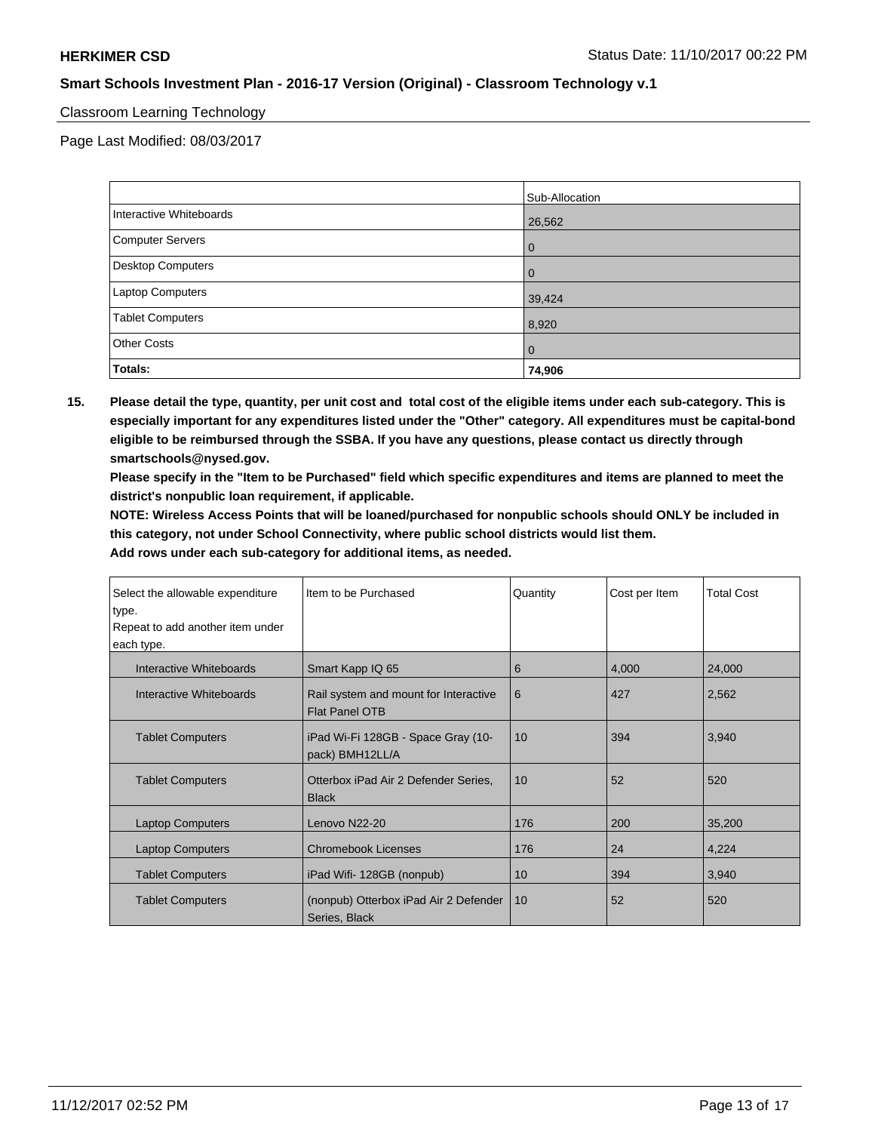### Classroom Learning Technology

Page Last Modified: 08/03/2017

|                         | Sub-Allocation |
|-------------------------|----------------|
| Interactive Whiteboards | 26,562         |
| Computer Servers        | 0              |
| Desktop Computers       | $\Omega$       |
| Laptop Computers        | 39,424         |
| <b>Tablet Computers</b> | 8,920          |
| <b>Other Costs</b>      | $\mathbf 0$    |
| Totals:                 | 74,906         |

**15. Please detail the type, quantity, per unit cost and total cost of the eligible items under each sub-category. This is especially important for any expenditures listed under the "Other" category. All expenditures must be capital-bond eligible to be reimbursed through the SSBA. If you have any questions, please contact us directly through smartschools@nysed.gov.**

**Please specify in the "Item to be Purchased" field which specific expenditures and items are planned to meet the district's nonpublic loan requirement, if applicable.**

**NOTE: Wireless Access Points that will be loaned/purchased for nonpublic schools should ONLY be included in this category, not under School Connectivity, where public school districts would list them.**

| Select the allowable expenditure | Iltem to be Purchased                                          | Quantity | Cost per Item | <b>Total Cost</b> |
|----------------------------------|----------------------------------------------------------------|----------|---------------|-------------------|
| type.                            |                                                                |          |               |                   |
| Repeat to add another item under |                                                                |          |               |                   |
| each type.                       |                                                                |          |               |                   |
| Interactive Whiteboards          | Smart Kapp IQ 65                                               | 6        | 4,000         | 24,000            |
| Interactive Whiteboards          | Rail system and mount for Interactive<br><b>Flat Panel OTB</b> | 6        | 427           | 2,562             |
| <b>Tablet Computers</b>          | iPad Wi-Fi 128GB - Space Gray (10-<br>pack) BMH12LL/A          | 10       | 394           | 3,940             |
| <b>Tablet Computers</b>          | Otterbox iPad Air 2 Defender Series,<br><b>Black</b>           | 10       | 52            | 520               |
| <b>Laptop Computers</b>          | Lenovo N22-20                                                  | 176      | 200           | 35,200            |
| <b>Laptop Computers</b>          | <b>Chromebook Licenses</b>                                     | 176      | 24            | 4,224             |
| <b>Tablet Computers</b>          | iPad Wifi- 128GB (nonpub)                                      | 10       | 394           | 3,940             |
| <b>Tablet Computers</b>          | (nonpub) Otterbox iPad Air 2 Defender<br>Series, Black         | 10       | 52            | 520               |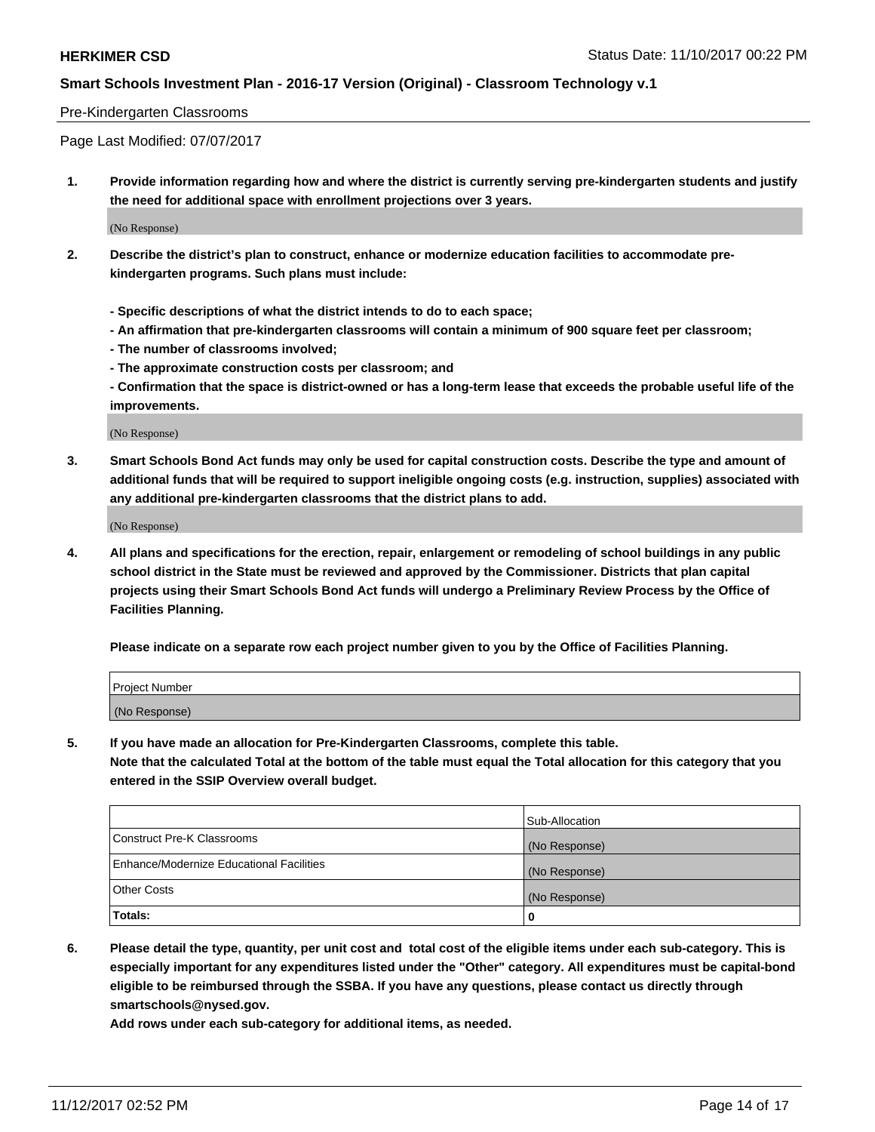### Pre-Kindergarten Classrooms

Page Last Modified: 07/07/2017

**1. Provide information regarding how and where the district is currently serving pre-kindergarten students and justify the need for additional space with enrollment projections over 3 years.**

(No Response)

- **2. Describe the district's plan to construct, enhance or modernize education facilities to accommodate prekindergarten programs. Such plans must include:**
	- **Specific descriptions of what the district intends to do to each space;**
	- **An affirmation that pre-kindergarten classrooms will contain a minimum of 900 square feet per classroom;**
	- **The number of classrooms involved;**
	- **The approximate construction costs per classroom; and**
	- **Confirmation that the space is district-owned or has a long-term lease that exceeds the probable useful life of the improvements.**

(No Response)

**3. Smart Schools Bond Act funds may only be used for capital construction costs. Describe the type and amount of additional funds that will be required to support ineligible ongoing costs (e.g. instruction, supplies) associated with any additional pre-kindergarten classrooms that the district plans to add.**

(No Response)

**4. All plans and specifications for the erection, repair, enlargement or remodeling of school buildings in any public school district in the State must be reviewed and approved by the Commissioner. Districts that plan capital projects using their Smart Schools Bond Act funds will undergo a Preliminary Review Process by the Office of Facilities Planning.**

**Please indicate on a separate row each project number given to you by the Office of Facilities Planning.**

| Project Number |  |
|----------------|--|
| (No Response)  |  |

**5. If you have made an allocation for Pre-Kindergarten Classrooms, complete this table.**

**Note that the calculated Total at the bottom of the table must equal the Total allocation for this category that you entered in the SSIP Overview overall budget.**

|                                          | Sub-Allocation |
|------------------------------------------|----------------|
| Construct Pre-K Classrooms               | (No Response)  |
| Enhance/Modernize Educational Facilities | (No Response)  |
| <b>Other Costs</b>                       | (No Response)  |
| <b>Totals:</b>                           | 0              |

**6. Please detail the type, quantity, per unit cost and total cost of the eligible items under each sub-category. This is especially important for any expenditures listed under the "Other" category. All expenditures must be capital-bond eligible to be reimbursed through the SSBA. If you have any questions, please contact us directly through smartschools@nysed.gov.**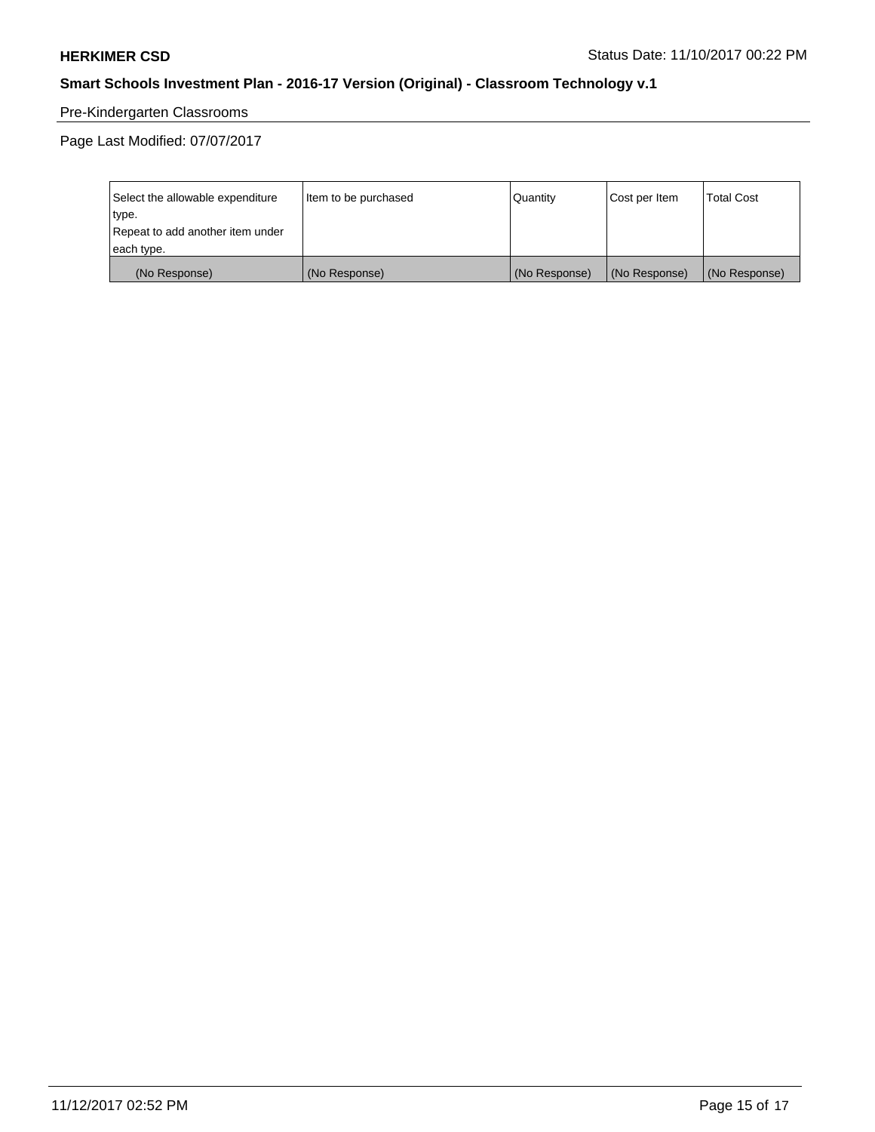# Pre-Kindergarten Classrooms

Page Last Modified: 07/07/2017

| Select the allowable expenditure | Item to be purchased | Quantity      | Cost per Item | <b>Total Cost</b> |
|----------------------------------|----------------------|---------------|---------------|-------------------|
| type.                            |                      |               |               |                   |
| Repeat to add another item under |                      |               |               |                   |
| each type.                       |                      |               |               |                   |
| (No Response)                    | (No Response)        | (No Response) | (No Response) | (No Response)     |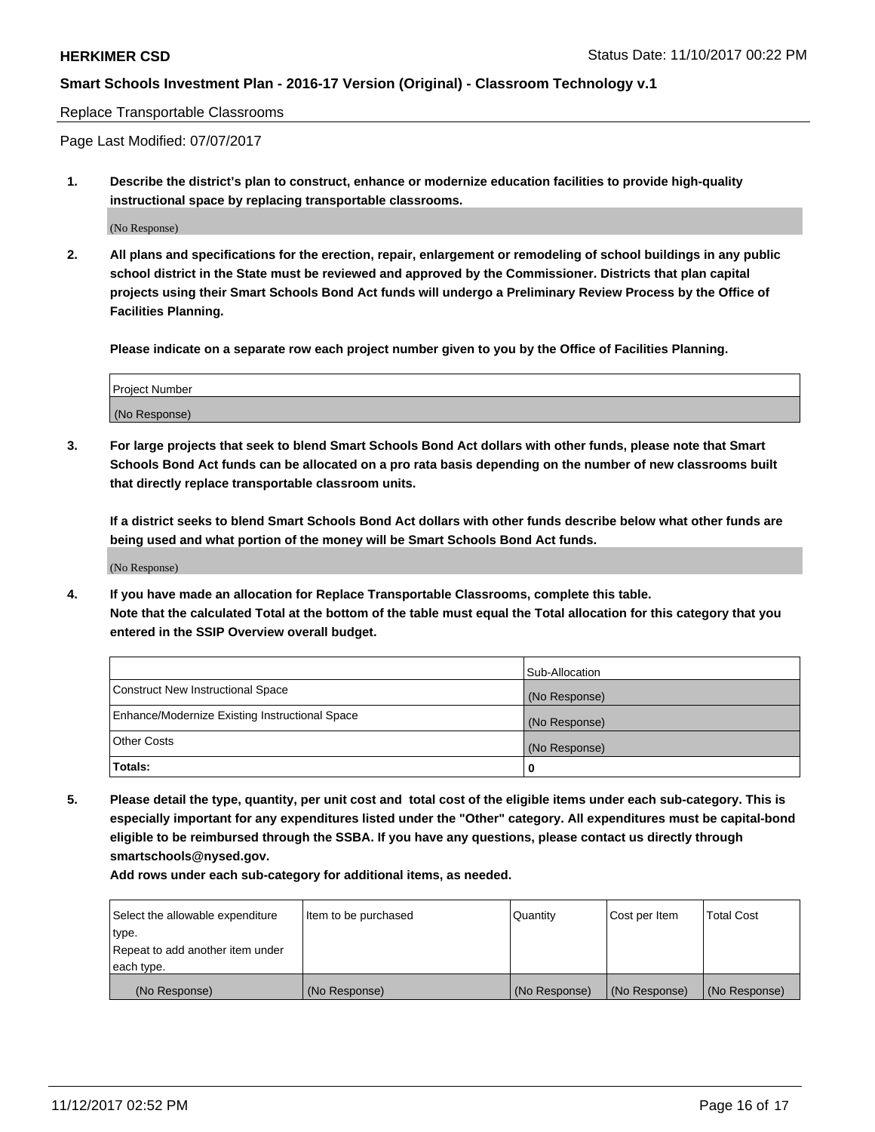### Replace Transportable Classrooms

Page Last Modified: 07/07/2017

**1. Describe the district's plan to construct, enhance or modernize education facilities to provide high-quality instructional space by replacing transportable classrooms.**

(No Response)

**2. All plans and specifications for the erection, repair, enlargement or remodeling of school buildings in any public school district in the State must be reviewed and approved by the Commissioner. Districts that plan capital projects using their Smart Schools Bond Act funds will undergo a Preliminary Review Process by the Office of Facilities Planning.**

**Please indicate on a separate row each project number given to you by the Office of Facilities Planning.**

| <b>Project Number</b> |  |
|-----------------------|--|
| (No Response)         |  |

**3. For large projects that seek to blend Smart Schools Bond Act dollars with other funds, please note that Smart Schools Bond Act funds can be allocated on a pro rata basis depending on the number of new classrooms built that directly replace transportable classroom units.**

**If a district seeks to blend Smart Schools Bond Act dollars with other funds describe below what other funds are being used and what portion of the money will be Smart Schools Bond Act funds.**

(No Response)

**4. If you have made an allocation for Replace Transportable Classrooms, complete this table. Note that the calculated Total at the bottom of the table must equal the Total allocation for this category that you entered in the SSIP Overview overall budget.**

|                                                | Sub-Allocation |
|------------------------------------------------|----------------|
| Construct New Instructional Space              | (No Response)  |
| Enhance/Modernize Existing Instructional Space | (No Response)  |
| <b>Other Costs</b>                             | (No Response)  |
| Totals:                                        | 0              |

**5. Please detail the type, quantity, per unit cost and total cost of the eligible items under each sub-category. This is especially important for any expenditures listed under the "Other" category. All expenditures must be capital-bond eligible to be reimbursed through the SSBA. If you have any questions, please contact us directly through smartschools@nysed.gov.**

| Select the allowable expenditure<br>type.<br>Repeat to add another item under<br>each type. | Item to be purchased | Quantity      | Cost per Item | <b>Total Cost</b> |
|---------------------------------------------------------------------------------------------|----------------------|---------------|---------------|-------------------|
|                                                                                             |                      |               |               |                   |
| (No Response)                                                                               | (No Response)        | (No Response) | (No Response) | (No Response)     |